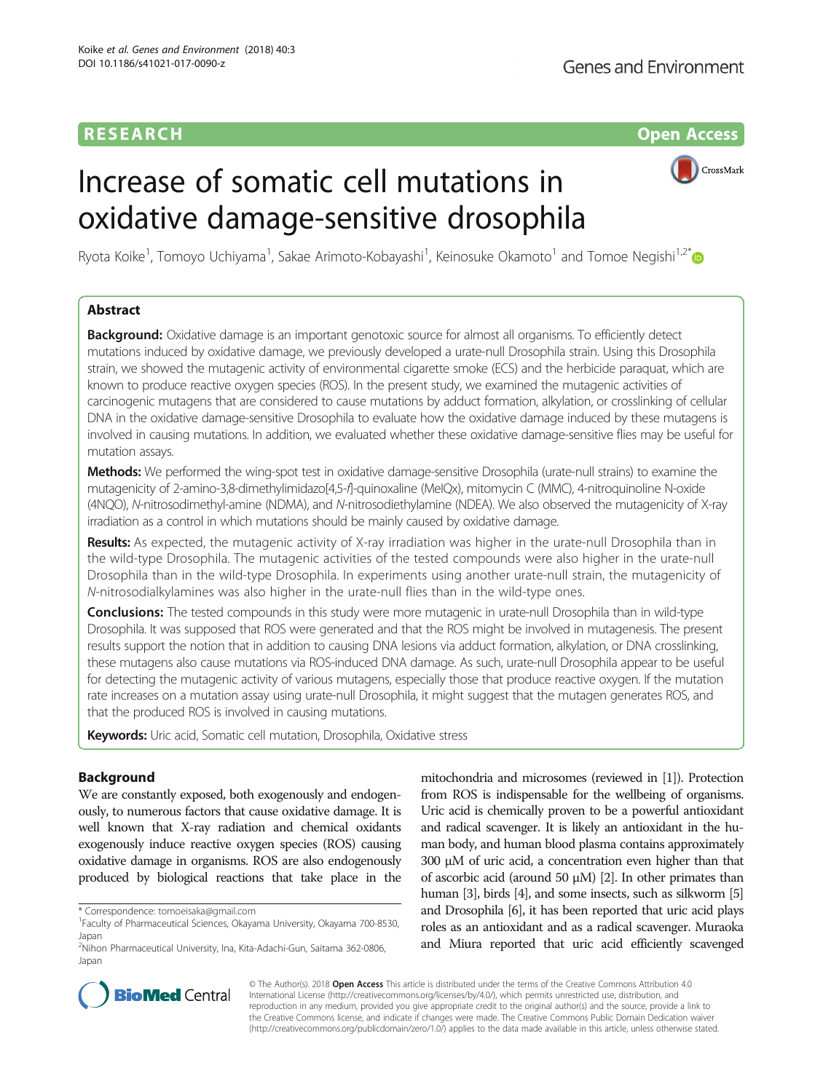# RESEARCH **RESEARCH CONSUMING ACCESS**

CrossMark

# Increase of somatic cell mutations in oxidative damage-sensitive drosophila

Ryota Koike<sup>1</sup>, Tomoyo Uchiyama<sup>1</sup>, Sakae Arimoto-Kobayashi<sup>1</sup>, Keinosuke Okamoto<sup>1</sup> and Tomoe Negishi<sup>1,2\*</sup>

## Abstract

**Background:** Oxidative damage is an important genotoxic source for almost all organisms. To efficiently detect mutations induced by oxidative damage, we previously developed a urate-null Drosophila strain. Using this Drosophila strain, we showed the mutagenic activity of environmental cigarette smoke (ECS) and the herbicide paraquat, which are known to produce reactive oxygen species (ROS). In the present study, we examined the mutagenic activities of carcinogenic mutagens that are considered to cause mutations by adduct formation, alkylation, or crosslinking of cellular DNA in the oxidative damage-sensitive Drosophila to evaluate how the oxidative damage induced by these mutagens is involved in causing mutations. In addition, we evaluated whether these oxidative damage-sensitive flies may be useful for mutation assays.

Methods: We performed the wing-spot test in oxidative damage-sensitive Drosophila (urate-null strains) to examine the mutagenicity of 2-amino-3,8-dimethylimidazo[4,5-f]-quinoxaline (MeIQx), mitomycin C (MMC), 4-nitroquinoline N-oxide (4NQO), N-nitrosodimethyl-amine (NDMA), and N-nitrosodiethylamine (NDEA). We also observed the mutagenicity of X-ray irradiation as a control in which mutations should be mainly caused by oxidative damage.

Results: As expected, the mutagenic activity of X-ray irradiation was higher in the urate-null Drosophila than in the wild-type Drosophila. The mutagenic activities of the tested compounds were also higher in the urate-null Drosophila than in the wild-type Drosophila. In experiments using another urate-null strain, the mutagenicity of N-nitrosodialkylamines was also higher in the urate-null flies than in the wild-type ones.

Conclusions: The tested compounds in this study were more mutagenic in urate-null Drosophila than in wild-type Drosophila. It was supposed that ROS were generated and that the ROS might be involved in mutagenesis. The present results support the notion that in addition to causing DNA lesions via adduct formation, alkylation, or DNA crosslinking, these mutagens also cause mutations via ROS-induced DNA damage. As such, urate-null Drosophila appear to be useful for detecting the mutagenic activity of various mutagens, especially those that produce reactive oxygen. If the mutation rate increases on a mutation assay using urate-null Drosophila, it might suggest that the mutagen generates ROS, and that the produced ROS is involved in causing mutations.

Keywords: Uric acid, Somatic cell mutation, Drosophila, Oxidative stress

## Background

We are constantly exposed, both exogenously and endogenously, to numerous factors that cause oxidative damage. It is well known that X-ray radiation and chemical oxidants exogenously induce reactive oxygen species (ROS) causing oxidative damage in organisms. ROS are also endogenously produced by biological reactions that take place in the

mitochondria and microsomes (reviewed in [\[1](#page-6-0)]). Protection from ROS is indispensable for the wellbeing of organisms. Uric acid is chemically proven to be a powerful antioxidant and radical scavenger. It is likely an antioxidant in the human body, and human blood plasma contains approximately 300 μM of uric acid, a concentration even higher than that of ascorbic acid (around 50  $\mu$ M) [\[2\]](#page-6-0). In other primates than human [\[3](#page-6-0)], birds [\[4\]](#page-6-0), and some insects, such as silkworm [[5](#page-6-0)] and Drosophila [\[6](#page-6-0)], it has been reported that uric acid plays roles as an antioxidant and as a radical scavenger. Muraoka and Miura reported that uric acid efficiently scavenged



© The Author(s). 2018 Open Access This article is distributed under the terms of the Creative Commons Attribution 4.0 International License [\(http://creativecommons.org/licenses/by/4.0/](http://creativecommons.org/licenses/by/4.0/)), which permits unrestricted use, distribution, and reproduction in any medium, provided you give appropriate credit to the original author(s) and the source, provide a link to the Creative Commons license, and indicate if changes were made. The Creative Commons Public Domain Dedication waiver [\(http://creativecommons.org/publicdomain/zero/1.0/](http://creativecommons.org/publicdomain/zero/1.0/)) applies to the data made available in this article, unless otherwise stated.

<sup>\*</sup> Correspondence: [tomoeisaka@gmail.com](mailto:tomoeisaka@gmail.com) <sup>1</sup>

Faculty of Pharmaceutical Sciences, Okayama University, Okayama 700-8530, Japan

<sup>&</sup>lt;sup>2</sup>Nihon Pharmaceutical University, Ina, Kita-Adachi-Gun, Saitama 362-0806, Japan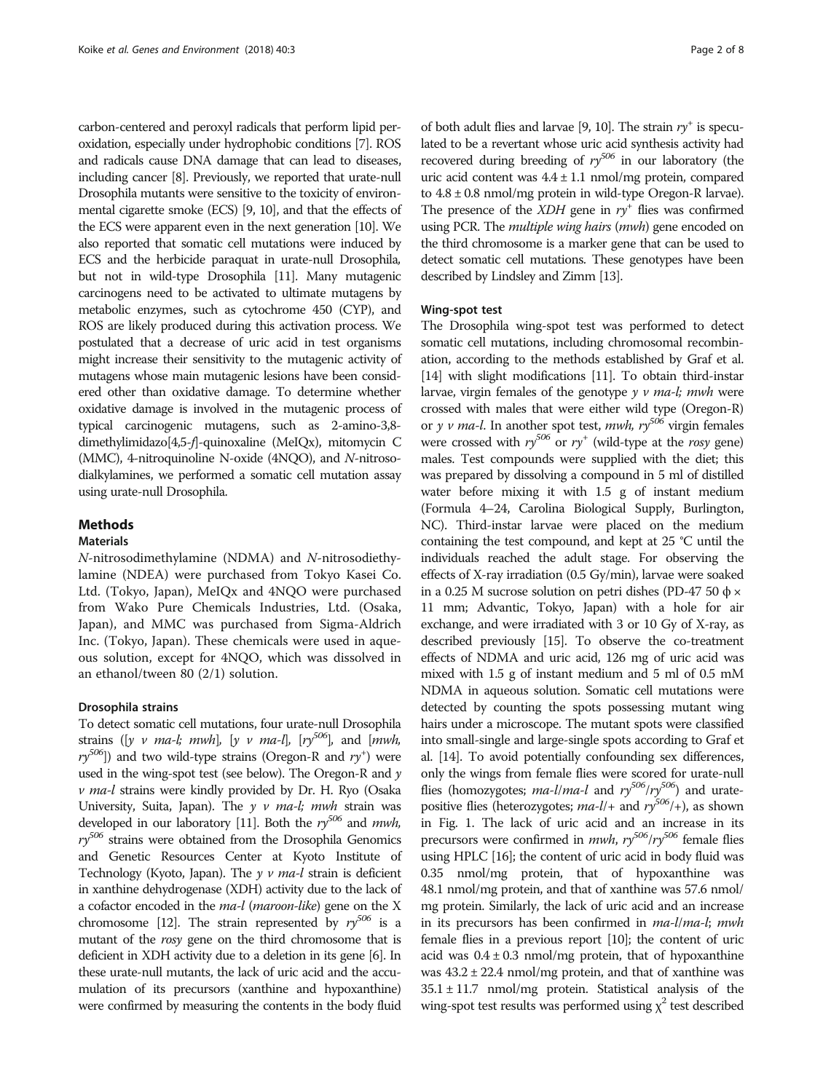carbon-centered and peroxyl radicals that perform lipid peroxidation, especially under hydrophobic conditions [\[7\]](#page-6-0). ROS and radicals cause DNA damage that can lead to diseases, including cancer [\[8\]](#page-6-0). Previously, we reported that urate-null Drosophila mutants were sensitive to the toxicity of environmental cigarette smoke (ECS) [\[9, 10](#page-6-0)], and that the effects of the ECS were apparent even in the next generation [[10\]](#page-6-0). We also reported that somatic cell mutations were induced by ECS and the herbicide paraquat in urate-null Drosophila, but not in wild-type Drosophila [\[11\]](#page-6-0). Many mutagenic carcinogens need to be activated to ultimate mutagens by metabolic enzymes, such as cytochrome 450 (CYP), and ROS are likely produced during this activation process. We postulated that a decrease of uric acid in test organisms might increase their sensitivity to the mutagenic activity of mutagens whose main mutagenic lesions have been considered other than oxidative damage. To determine whether oxidative damage is involved in the mutagenic process of typical carcinogenic mutagens, such as 2-amino-3,8 dimethylimidazo[4,5-f]-quinoxaline (MeIQx), mitomycin C (MMC), 4-nitroquinoline N-oxide (4NQO), and N-nitrosodialkylamines, we performed a somatic cell mutation assay using urate-null Drosophila.

# Methods

#### Materials

N-nitrosodimethylamine (NDMA) and N-nitrosodiethylamine (NDEA) were purchased from Tokyo Kasei Co. Ltd. (Tokyo, Japan), MeIQx and 4NQO were purchased from Wako Pure Chemicals Industries, Ltd. (Osaka, Japan), and MMC was purchased from Sigma-Aldrich Inc. (Tokyo, Japan). These chemicals were used in aqueous solution, except for 4NQO, which was dissolved in an ethanol/tween 80 (2/1) solution.

#### Drosophila strains

To detect somatic cell mutations, four urate-null Drosophila strains ([y v ma-l; mwh], [y v ma-l], [ry<sup>506</sup>], and [mwh,  $rry^{506}$ ]) and two wild-type strains (Oregon-R and  $rr'$ ) were<br>used in the wing-spot test (see below). The Oregon-R and w used in the wing-spot test (see below). The Oregon-R and  $\gamma$  $\nu$  ma-l strains were kindly provided by Dr. H. Ryo (Osaka University, Suita, Japan). The  $y \ v \ ma$ -l; mwh strain was developed in our laboratory [\[11\]](#page-6-0). Both the  $ry^{506}$  and mwh,  $ry^{506}$  strains were obtained from the Drosophila Genomics and Genetic Resources Center at Kyoto Institute of Technology (Kyoto, Japan). The  $y \ v \ ma-l$  strain is deficient in xanthine dehydrogenase (XDH) activity due to the lack of a cofactor encoded in the ma-l (maroon-like) gene on the X chromosome [\[12\]](#page-6-0). The strain represented by  $ry^{506}$  is a mutant of the rosy gene on the third chromosome that is deficient in XDH activity due to a deletion in its gene [\[6](#page-6-0)]. In these urate-null mutants, the lack of uric acid and the accumulation of its precursors (xanthine and hypoxanthine) were confirmed by measuring the contents in the body fluid

of both adult flies and larvae [\[9, 10\]](#page-6-0). The strain  $ry^+$  is speculated to be a revertant whose uric acid synthesis activity had recovered during breeding of  $ry^{506}$  in our laboratory (the uric acid content was  $4.4 \pm 1.1$  nmol/mg protein, compared to  $4.8 \pm 0.8$  nmol/mg protein in wild-type Oregon-R larvae). The presence of the *XDH* gene in  $ry^+$  flies was confirmed using PCR. The *multiple wing hairs (mwh)* gene encoded on the third chromosome is a marker gene that can be used to detect somatic cell mutations. These genotypes have been described by Lindsley and Zimm [[13\]](#page-6-0).

#### Wing-spot test

The Drosophila wing-spot test was performed to detect somatic cell mutations, including chromosomal recombination, according to the methods established by Graf et al. [[14](#page-6-0)] with slight modifications [\[11\]](#page-6-0). To obtain third-instar larvae, virgin females of the genotype  $y \, v \, ma-l$ ; mwh were crossed with males that were either wild type (Oregon-R) or y v ma-l. In another spot test, mwh,  $ry^{506}$  virgin females were crossed with  $ry^{506}$  or  $ry^{+}$  (wild-type at the rosy gene) males. Test compounds were supplied with the diet; this was prepared by dissolving a compound in 5 ml of distilled water before mixing it with 1.5 g of instant medium (Formula 4–24, Carolina Biological Supply, Burlington, NC). Third-instar larvae were placed on the medium containing the test compound, and kept at 25 °C until the individuals reached the adult stage. For observing the effects of X-ray irradiation (0.5 Gy/min), larvae were soaked in a 0.25 M sucrose solution on petri dishes (PD-47 50  $\phi \times$ 11 mm; Advantic, Tokyo, Japan) with a hole for air exchange, and were irradiated with 3 or 10 Gy of X-ray, as described previously [\[15\]](#page-6-0). To observe the co-treatment effects of NDMA and uric acid, 126 mg of uric acid was mixed with 1.5 g of instant medium and 5 ml of 0.5 mM NDMA in aqueous solution. Somatic cell mutations were detected by counting the spots possessing mutant wing hairs under a microscope. The mutant spots were classified into small-single and large-single spots according to Graf et al. [\[14\]](#page-6-0). To avoid potentially confounding sex differences, only the wings from female flies were scored for urate-null flies (homozygotes; *ma-l/ma-l* and  $ry^{506}/ry^{506}$ ) and uratepositive flies (heterozygotes;  $ma-l$  + and  $ry^{506}/+$ ), as shown in Fig. [1](#page-2-0). The lack of uric acid and an increase in its precursors were confirmed in *mwh*,  $ry^{506}/ry^{506}$  female flies using HPLC [[16](#page-6-0)]; the content of uric acid in body fluid was 0.35 nmol/mg protein, that of hypoxanthine was 48.1 nmol/mg protein, and that of xanthine was 57.6 nmol/ mg protein. Similarly, the lack of uric acid and an increase in its precursors has been confirmed in ma-l/ma-l; mwh female flies in a previous report [\[10\]](#page-6-0); the content of uric acid was  $0.4 \pm 0.3$  nmol/mg protein, that of hypoxanthine was  $43.2 \pm 22.4$  nmol/mg protein, and that of xanthine was  $35.1 \pm 11.7$  nmol/mg protein. Statistical analysis of the wing-spot test results was performed using  $\chi^2$  test described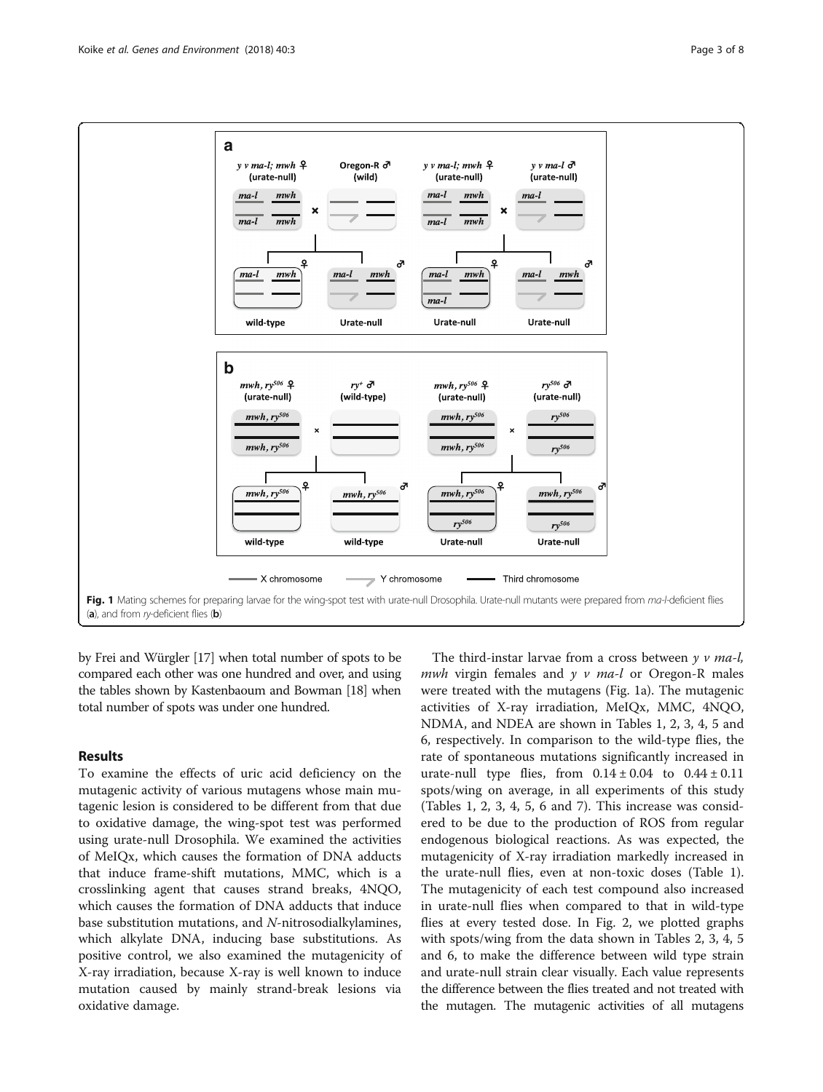<span id="page-2-0"></span>

by Frei and Würgler [\[17](#page-7-0)] when total number of spots to be compared each other was one hundred and over, and using the tables shown by Kastenbaoum and Bowman [[18](#page-7-0)] when total number of spots was under one hundred.

#### Results

To examine the effects of uric acid deficiency on the mutagenic activity of various mutagens whose main mutagenic lesion is considered to be different from that due to oxidative damage, the wing-spot test was performed using urate-null Drosophila. We examined the activities of MeIQx, which causes the formation of DNA adducts that induce frame-shift mutations, MMC, which is a crosslinking agent that causes strand breaks, 4NQO, which causes the formation of DNA adducts that induce base substitution mutations, and N-nitrosodialkylamines, which alkylate DNA, inducing base substitutions. As positive control, we also examined the mutagenicity of X-ray irradiation, because X-ray is well known to induce mutation caused by mainly strand-break lesions via oxidative damage.

The third-instar larvae from a cross between  $\gamma$  v ma-l, mwh virgin females and  $y \, v$  ma-l or Oregon-R males were treated with the mutagens (Fig. 1a). The mutagenic activities of X-ray irradiation, MeIQx, MMC, 4NQO, NDMA, and NDEA are shown in Tables [1, 2, 3](#page-3-0), [4](#page-3-0), [5](#page-4-0) and [6,](#page-4-0) respectively. In comparison to the wild-type flies, the rate of spontaneous mutations significantly increased in urate-null type flies, from  $0.14 \pm 0.04$  to  $0.44 \pm 0.11$ spots/wing on average, in all experiments of this study (Tables [1](#page-3-0), [2, 3, 4](#page-3-0), [5, 6](#page-4-0) and [7\)](#page-5-0). This increase was considered to be due to the production of ROS from regular endogenous biological reactions. As was expected, the mutagenicity of X-ray irradiation markedly increased in the urate-null flies, even at non-toxic doses (Table [1](#page-3-0)). The mutagenicity of each test compound also increased in urate-null flies when compared to that in wild-type flies at every tested dose. In Fig. [2](#page-5-0), we plotted graphs with spots/wing from the data shown in Tables [2, 3](#page-3-0), [4](#page-3-0), [5](#page-4-0) and [6,](#page-4-0) to make the difference between wild type strain and urate-null strain clear visually. Each value represents the difference between the flies treated and not treated with the mutagen. The mutagenic activities of all mutagens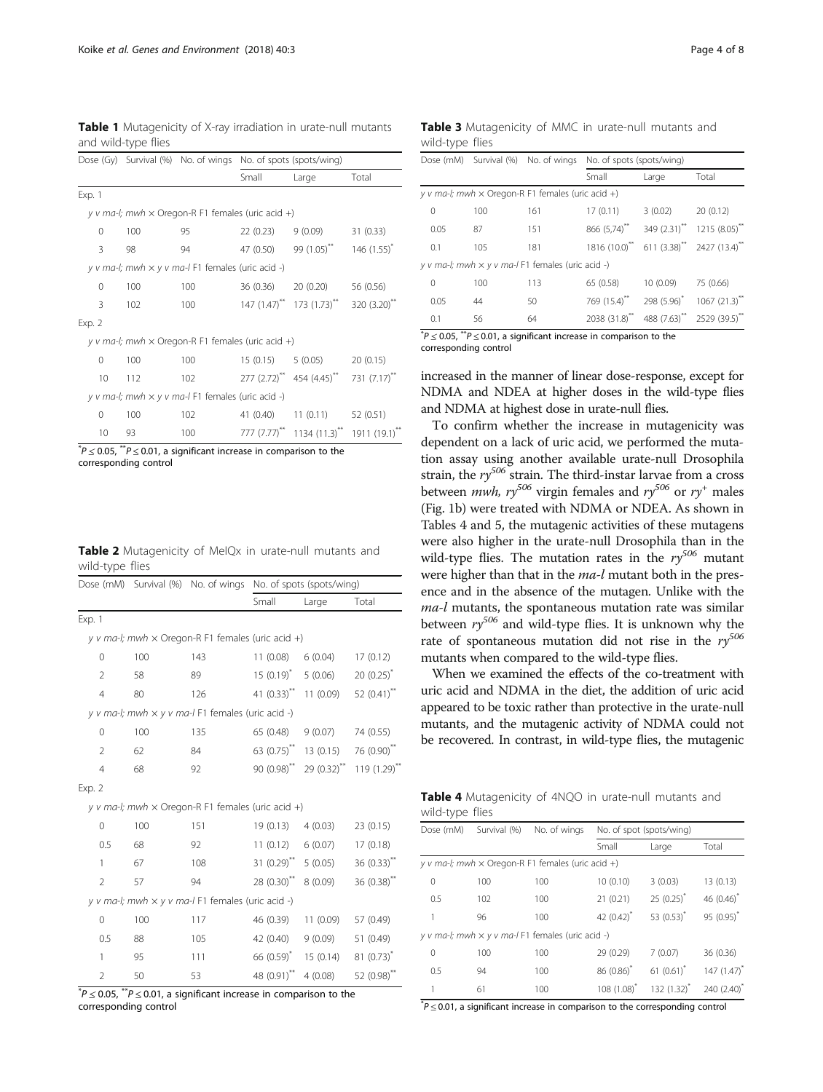<span id="page-3-0"></span>Table 1 Mutagenicity of X-ray irradiation in urate-null mutants and wild-type flies

|          |     |                                                          | Dose (Gy) Survival (%) No. of wings No. of spots (spots/wing) |                                                           |           |  |
|----------|-----|----------------------------------------------------------|---------------------------------------------------------------|-----------------------------------------------------------|-----------|--|
|          |     |                                                          | Small                                                         | Large                                                     | Total     |  |
| Exp. 1   |     |                                                          |                                                               |                                                           |           |  |
|          |     | y v ma-l; mwh x Oregon-R F1 females (uric acid +)        |                                                               |                                                           |           |  |
| $\Omega$ | 100 | 95                                                       | 22(0.23)                                                      | 9(0.09)                                                   | 31 (0.33) |  |
| 3        | 98  | 94                                                       |                                                               | 47 (0.50) 99 (1.05) <sup>**</sup> 146 (1.55) <sup>*</sup> |           |  |
|          |     | y v ma-l; mwh $\times$ y v ma-l F1 females (uric acid -) |                                                               |                                                           |           |  |
| 0        | 100 | 100                                                      | 36 (0.36)                                                     | 20 (0.20) 56 (0.56)                                       |           |  |
| 3        | 102 | 100                                                      |                                                               | 147 (1.47)** 173 (1.73)** 320 (3.20)**                    |           |  |
| Exp. 2   |     |                                                          |                                                               |                                                           |           |  |
|          |     | y v ma-l; mwh x Oregon-R F1 females (uric acid +)        |                                                               |                                                           |           |  |
| $\Omega$ | 100 | 100                                                      | 15 (0.15)                                                     | 5(0.05)                                                   | 20(0.15)  |  |
| 10       | 112 | 102                                                      |                                                               | 277 (2.72)** 454 (4.45)** 731 (7.17)**                    |           |  |
|          |     | y v ma-l; mwh $\times$ y v ma-l F1 females (uric acid -) |                                                               |                                                           |           |  |
| $\Omega$ | 100 | 102                                                      | 41 (0.40)                                                     | 11(0.11)                                                  | 52 (0.51) |  |
| 10       | 93  | 100                                                      |                                                               | 777 (7.77)** 1134 (11.3)** 1911 (19.1)**                  |           |  |

 $\overline{P} \leq 0.05$ ,  $\overline{P} \leq 0.01$ , a significant increase in comparison to the corresponding control

| Table 2 Mutagenicity of MeIQx in urate-null mutants and |  |  |  |
|---------------------------------------------------------|--|--|--|
| wild-type flies                                         |  |  |  |

|                |     |                                                          | Dose (mM) Survival (%) No. of wings No. of spots (spots/wing) |               |                        |  |
|----------------|-----|----------------------------------------------------------|---------------------------------------------------------------|---------------|------------------------|--|
|                |     |                                                          | Small                                                         | Large         | Total                  |  |
| Exp. 1         |     |                                                          |                                                               |               |                        |  |
|                |     | y v ma-l; mwh $\times$ Oregon-R F1 females (uric acid +) |                                                               |               |                        |  |
| 0              | 100 | 143                                                      | 11 (0.08)                                                     | 6(0.04)       | 17(0.12)               |  |
| $\overline{2}$ | 58  | 89                                                       | $15(0.19)^{*}$                                                | 5(0.06)       | $20(0.25)^{*}$         |  |
| $\overline{4}$ | 80  | 126                                                      | 41 $(0.33)$ **                                                | 11(0.09)      | 52 $(0.41)$ **         |  |
|                |     | y v ma-l; mwh x y v ma-l F1 females (uric acid -)        |                                                               |               |                        |  |
| $\mathbf 0$    | 100 | 135                                                      | 65 (0.48)                                                     | 9(0.07)       | 74 (0.55)              |  |
| $\overline{2}$ | 62  | 84                                                       | $63(0.75)^{**}$                                               | 13(0.15)      | 76 (0.90)              |  |
| $\overline{4}$ | 68  | 92                                                       | $90(0.98)$ **                                                 | $29(0.32)$ ** | 119(1.29)              |  |
| Exp. 2         |     |                                                          |                                                               |               |                        |  |
|                |     | y v ma-l; mwh $\times$ Oregon-R F1 females (uric acid +) |                                                               |               |                        |  |
| $\mathbf 0$    | 100 | 151                                                      | 19(0.13)                                                      | 4(0.03)       | 23 (0.15)              |  |
| 0.5            | 68  | 92                                                       | 11(0.12)                                                      | 6(0.07)       | 17 (0.18)              |  |
| 1              | 67  | 108                                                      | 31 $(0.29)^{**}$                                              | 5(0.05)       | $36(0.33)$ **          |  |
| $\overline{2}$ | 57  | 94                                                       | $28(0.30)$ **                                                 | 8 (0.09)      | 36(0.38)               |  |
|                |     | y v ma-l; mwh x y v ma-l F1 females (uric acid -)        |                                                               |               |                        |  |
| $\overline{0}$ | 100 | 117                                                      | 46 (0.39)                                                     | 11(0.09)      | 57 (0.49)              |  |
| 0.5            | 88  | 105                                                      | 42 (0.40)                                                     | 9(0.09)       | 51 (0.49)              |  |
| 1              | 95  | 111                                                      | $66 (0.59)^{^{\circ}}$                                        | 15(0.14)      | $81(0.73)^{^{\circ}}$  |  |
| $\overline{2}$ | 50  | 53                                                       | 48 (0.91)**                                                   | 4(0.08)       | 52 (0.98) <sup>*</sup> |  |

 $\mathbb{Z}^*P \leq 0.05$ ,  $\mathbb{Z}^*P \leq 0.01$ , a significant increase in comparison to the corresponding control

| <b>Table 3</b> Mutagenicity of MMC in urate-null mutants and |  |  |  |
|--------------------------------------------------------------|--|--|--|
| wild-type flies                                              |  |  |  |

|          |     | Dose (mM) Survival (%) No. of wings No. of spots (spots/wing) |                |          |                                                                            |  |  |  |
|----------|-----|---------------------------------------------------------------|----------------|----------|----------------------------------------------------------------------------|--|--|--|
|          |     |                                                               | Small<br>Large |          | Total                                                                      |  |  |  |
|          |     | y v ma-l; mwh $\times$ Oregon-R F1 females (uric acid +)      |                |          |                                                                            |  |  |  |
| 0        | 100 | 161                                                           | 17 (0.11)      | 3(0.02)  | 20(0.12)                                                                   |  |  |  |
| 0.05     | 87  | 151                                                           |                |          | 866 (5,74)** 349 (2.31)** 1215 (8.05)**                                    |  |  |  |
| 0.1      | 105 | 181                                                           |                |          | 1816 (10.0)** 611 (3.38)** 2427 (13.4)**                                   |  |  |  |
|          |     | y v ma-l; mwh x y v ma-l F1 females (uric acid -)             |                |          |                                                                            |  |  |  |
| $\Omega$ | 100 | 113                                                           | 65 (0.58)      | 10(0.09) | 75 (0.66)                                                                  |  |  |  |
| 0.05     | 44  | 50                                                            |                |          | 769 (15.4) <sup>**</sup> 298 (5.96) <sup>*</sup> 1067 (21.3) <sup>**</sup> |  |  |  |
| 0.1      | 56  | 64                                                            |                |          | 2038 (31.8)** 488 (7.63)** 2529 (39.5)**                                   |  |  |  |

 $P^* \geq 0.05$ ,  $P^* \leq 0.01$ , a significant increase in comparison to the corresponding control

increased in the manner of linear dose-response, except for NDMA and NDEA at higher doses in the wild-type flies and NDMA at highest dose in urate-null flies.

To confirm whether the increase in mutagenicity was dependent on a lack of uric acid, we performed the mutation assay using another available urate-null Drosophila strain, the  $ry^{506}$  strain. The third-instar larvae from a cross strain, the ry<sup>506</sup> strain. The third-instar larvae from a cross<br>between *muh* ry<sup>506</sup> virgin females and ry<sup>506</sup> or ry<sup>+</sup> males between *mwh, ry<sup>506</sup>* virgin females and  $ry^{506}$  or  $ry^+$  males<br>(Fig. 1b) were treated with NDMA or NDFA. As shown in (Fig. [1b](#page-2-0)) were treated with NDMA or NDEA. As shown in Tables 4 and [5](#page-4-0), the mutagenic activities of these mutagens were also higher in the urate-null Drosophila than in the wild-type flies. The mutation rates in the  $ry^{506}$  mutant were higher than that in the *ma-l* mutant both in the presence and in the absence of the mutagen. Unlike with the ma-l mutants, the spontaneous mutation rate was similar between  $ry^{506}$  and wild-type flies. It is unknown why the rate of spontaneous mutation did not rise in the  $ry^{506}$ mutants when compared to the wild-type flies.

When we examined the effects of the co-treatment with uric acid and NDMA in the diet, the addition of uric acid appeared to be toxic rather than protective in the urate-null mutants, and the mutagenic activity of NDMA could not be recovered. In contrast, in wild-type flies, the mutagenic

Table 4 Mutagenicity of 4NQO in urate-null mutants and wild-type flies

| Dose (mM) | Survival (%) | No. of wings                                             | No. of spot (spots/wing) |                 |                          |  |  |  |
|-----------|--------------|----------------------------------------------------------|--------------------------|-----------------|--------------------------|--|--|--|
|           |              |                                                          | Small                    | Large           | Total                    |  |  |  |
|           |              | y v ma-l; mwh $\times$ Oregon-R F1 females (uric acid +) |                          |                 |                          |  |  |  |
| $\Omega$  | 100          | 100                                                      | 10 (0.10)                | 3(0.03)         | 13 (0.13)                |  |  |  |
| 0.5       | 102          | 100                                                      | 21(0.21)                 | $25(0.25)^{*}$  | 46 $(0.46)^*$            |  |  |  |
| 1         | 96           | 100                                                      | 42 $(0.42)^{*}$          | 53 $(0.53)^*$   | $95(0.95)^{*}$           |  |  |  |
|           |              | y v ma-l; mwh $\times$ y v ma-l F1 females (uric acid -) |                          |                 |                          |  |  |  |
| $\Omega$  | 100          | 100                                                      | 29 (0.29)                | 7(0.07)         | 36 (0.36)                |  |  |  |
| 0.5       | 94           | 100                                                      | $86(0.86)^*$             | $61 (0.61)^*$   | $147(1.47)$ <sup>*</sup> |  |  |  |
|           | 61           | 100                                                      | 108 (1.08)               | $132(1.32)^{*}$ | $240(2.40)^{^{\circ}}$   |  |  |  |

 $P \leq 0.01$ , a significant increase in comparison to the corresponding control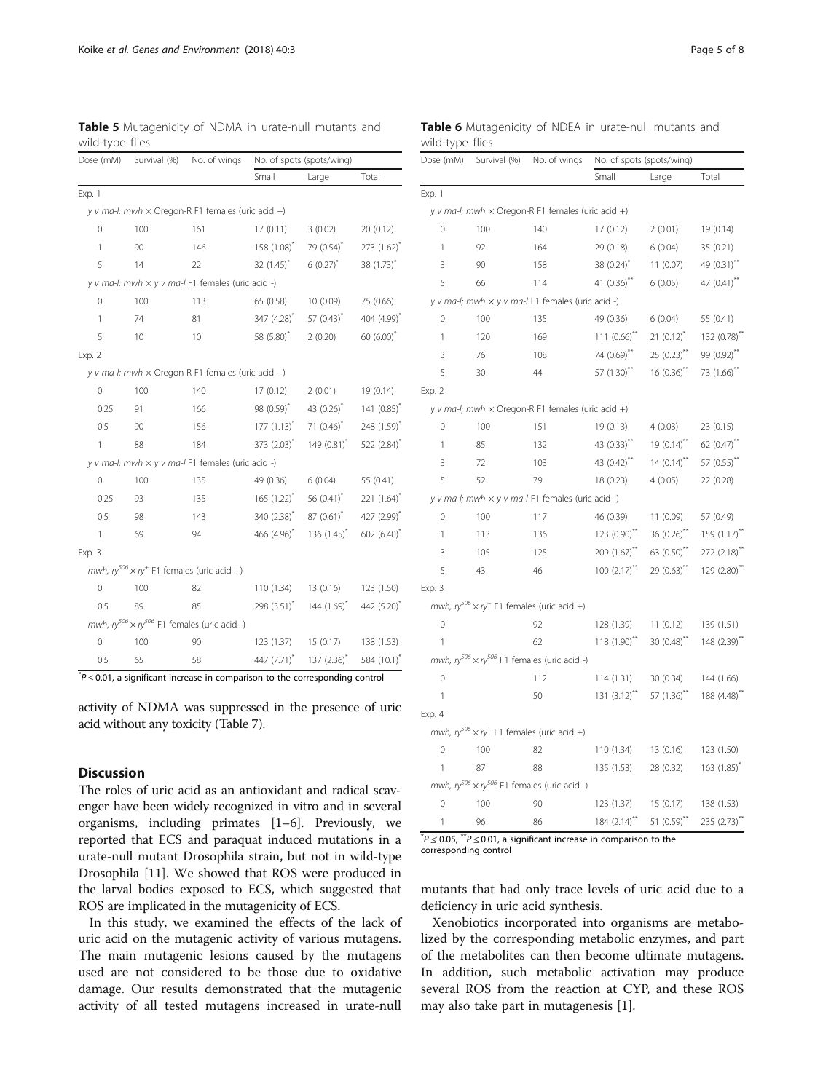<span id="page-4-0"></span>Table 5 Mutagenicity of NDMA in urate-null mutants and wild-type flies

| Dose (mM)   | Survival (%) | No. of wings                                             | No. of spots (spots/wing) |                        |                          |  |  |
|-------------|--------------|----------------------------------------------------------|---------------------------|------------------------|--------------------------|--|--|
|             |              |                                                          | Small                     | Large                  | Total                    |  |  |
| Exp. 1      |              |                                                          |                           |                        |                          |  |  |
|             |              | y v ma-l; mwh x Oregon-R F1 females (uric acid +)        |                           |                        |                          |  |  |
| 0           | 100          | 161                                                      | 17(0.11)                  | 3(0.02)                | 20 (0.12)                |  |  |
| 1           | 90           | 146                                                      | 158 (1.08)*               | 79 (0.54)*             | $273(1.62)$ <sup>*</sup> |  |  |
| 5           | 14           | 22                                                       | $32(1.45)^*$              | $6(0.27)^{*}$          | $38(1.73)^{*}$           |  |  |
|             |              | y v ma-l; mwh x y v ma-l F1 females (uric acid -)        |                           |                        |                          |  |  |
| 0           | 100          | 113                                                      | 65 (0.58)                 | 10 (0.09)              | 75 (0.66)                |  |  |
| 1           | 74           | 81                                                       | 347 (4.28) <sup>*</sup>   | 57 $(0.43)^*$          | 404 (4.99) <sup>*</sup>  |  |  |
| 5           | 10           | 10                                                       | 58 (5.80)*                | 2(0.20)                | 60 $(6.00)^{*}$          |  |  |
| Exp. 2      |              |                                                          |                           |                        |                          |  |  |
|             |              | y v ma-l; mwh x Oregon-R F1 females (uric acid +)        |                           |                        |                          |  |  |
| 0           | 100          | 140                                                      | 17(0.12)                  | 2(0.01)                | 19 (0.14)                |  |  |
| 0.25        | 91           | 166                                                      | 98 (0.59)*                | 43 (0.26) <sup>*</sup> | 141 $(0.85)^*$           |  |  |
| 0.5         | 90           | 156                                                      | $177(1.13)^{*}$           | 71 $(0.46)^*$          | 248 (1.59) <sup>*</sup>  |  |  |
| 1           | 88           | 184                                                      | 373 (2.03) <sup>*</sup>   | 149 $(0.81)^{*}$       | 522 (2.84)*              |  |  |
|             |              | y v ma-l; mwh x y v ma-l F1 females (uric acid -)        |                           |                        |                          |  |  |
| $\mathbf 0$ | 100          | 135                                                      | 49 (0.36)                 | 6(0.04)                | 55 (0.41)                |  |  |
| 0.25        | 93           | 135                                                      | $165(1.22)^{*}$           | 56 $(0.41)^*$          | 221 (1.64) <sup>*</sup>  |  |  |
| 0.5         | 98           | 143                                                      | 340 (2.38) <sup>*</sup>   | 87 (0.61)*             | 427 (2.99) <sup>*</sup>  |  |  |
| 1           | 69           | 94                                                       | 466 (4.96) <sup>*</sup>   | $136(1.45)^{*}$        | 602(6.40)                |  |  |
| Exp. 3      |              |                                                          |                           |                        |                          |  |  |
|             |              | mwh, $ry^{506} \times ry^{+}$ F1 females (uric acid +)   |                           |                        |                          |  |  |
| $\mathbf 0$ | 100          | 82                                                       | 110 (1.34)                | 13(0.16)               | 123 (1.50)               |  |  |
| 0.5         | 89           | 85                                                       | 298 $(3.51)^{*}$          | 144 $(1.69)^{*}$       | 442 (5.20) <sup>*</sup>  |  |  |
|             |              | mwh, $ry^{506} \times ry^{506}$ F1 females (uric acid -) |                           |                        |                          |  |  |
| 0           | 100          | 90                                                       | 123 (1.37)                | 15(0.17)               | 138 (1.53)               |  |  |
| 0.5         | 65           | 58                                                       | 447 $(7.71)^{*}$          | $137 (2.36)^*$         | 584 (10.1) <sup>*</sup>  |  |  |

 $P \leq 0.01$ , a significant increase in comparison to the corresponding control

activity of NDMA was suppressed in the presence of uric acid without any toxicity (Table [7](#page-5-0)).

#### **Discussion**

The roles of uric acid as an antioxidant and radical scavenger have been widely recognized in vitro and in several organisms, including primates [\[1](#page-6-0)–[6\]](#page-6-0). Previously, we reported that ECS and paraquat induced mutations in a urate-null mutant Drosophila strain, but not in wild-type Drosophila [\[11](#page-6-0)]. We showed that ROS were produced in the larval bodies exposed to ECS, which suggested that ROS are implicated in the mutagenicity of ECS.

In this study, we examined the effects of the lack of uric acid on the mutagenic activity of various mutagens. The main mutagenic lesions caused by the mutagens used are not considered to be those due to oxidative damage. Our results demonstrated that the mutagenic activity of all tested mutagens increased in urate-null

Table 6 Mutagenicity of NDEA in urate-null mutants and wild-type flies

| Dose (mM)      | Survival (%) | No. of wings                                             | No. of spots (spots/wing) |                           |                            |  |
|----------------|--------------|----------------------------------------------------------|---------------------------|---------------------------|----------------------------|--|
|                |              |                                                          | Small                     | Large                     | Total                      |  |
| Exp. 1         |              |                                                          |                           |                           |                            |  |
|                |              | y v ma-l; mwh $\times$ Oregon-R F1 females (uric acid +) |                           |                           |                            |  |
| $\overline{0}$ | 100          | 140                                                      | 17(0.12)                  | 2(0.01)                   | 19 (0.14)                  |  |
| 1              | 92           | 164                                                      | 29 (0.18)                 | 6(0.04)                   | 35 (0.21)                  |  |
| 3              | 90           | 158                                                      | 38(0.24)                  | 11 (0.07)                 | 49 (0.31) <sup>**</sup>    |  |
| 5              | 66           | 114                                                      | 41 $(0.36)$ <sup>**</sup> | 6(0.05)                   | 47 $(0.41)^{**}$           |  |
|                |              | y v ma-l; mwh x y v ma-l F1 females (uric acid -)        |                           |                           |                            |  |
| $\mathbf 0$    | 100          | 135                                                      | 49 (0.36)                 | 6(0.04)                   | 55 (0.41)                  |  |
| 1              | 120          | 169                                                      | 111(0.66)                 | $21(0.12)^{*}$            | 132(0.78)                  |  |
| 3              | 76           | 108                                                      | 74 (0.69)**               | $25(0.23)$ **             | 99 (0.92)**                |  |
| 5              | 30           | 44                                                       | 57 (1.30)**               | $16(0.36)$ **             | 73 (1.66)**                |  |
| Exp. 2         |              |                                                          |                           |                           |                            |  |
|                |              | y v ma-l; mwh $\times$ Oregon-R F1 females (uric acid +) |                           |                           |                            |  |
| $\overline{0}$ | 100          | 151                                                      | 19(0.13)                  | 4(0.03)                   | 23 (0.15)                  |  |
| 1              | 85           | 132                                                      | 43 $(0.33)^{**}$          | $19(0.14)^{**}$           | 62 $(0.47)^{**}$           |  |
| 3              | 72           | 103                                                      | 43 $(0.42)^{**}$          | $14(0.14)^{**}$           | 57 $(0.55)^{**}$           |  |
| 5              | 52           | 79                                                       | 18 (0.23)                 | 4(0.05)                   | 22 (0.28)                  |  |
|                |              | y v ma-l; mwh x y v ma-l F1 females (uric acid -)        |                           |                           |                            |  |
| $\overline{0}$ | 100          | 117                                                      | 46 (0.39)                 | 11 (0.09)                 | 57 (0.49)                  |  |
| 1              | 113          | 136                                                      | $123(0.90)^{**}$          | $36(0.26)$ **             | 159 $(1.17)^{44}$          |  |
| 3              | 105          | 125                                                      | 209 (1.67)**              | 63 $(0.50)$ <sup>**</sup> | $272$ (2.18) <sup>**</sup> |  |
| 5              | 43           | 46                                                       | $100(2.17)$ <sup>**</sup> | $29(0.63)$ **             | 129 (2.80)**               |  |
| Exp. 3         |              |                                                          |                           |                           |                            |  |
|                |              | mwh, $ry^{506} \times ry^+$ F1 females (uric acid +)     |                           |                           |                            |  |
| $\mathbf 0$    |              | 92                                                       | 128 (1.39)                | 11(0.12)                  | 139 (1.51)                 |  |
| 1              |              | 62                                                       | $118(1.90)^{11}$          | 30(0.48)                  | 148(2.39)                  |  |
|                |              | mwh, $ry^{506} \times ry^{506}$ F1 females (uric acid -) |                           |                           |                            |  |
| $\overline{0}$ |              | 112                                                      | 114(1.31)                 | 30 (0.34)                 | 144 (1.66)                 |  |
| 1              |              | 50                                                       | $131 (3.12)^{**}$         | 57 (1.36)**               | 188 (4.48)                 |  |
| Exp. 4         |              |                                                          |                           |                           |                            |  |
|                |              | mwh, $ry^{506} \times ry^+$ F1 females (uric acid +)     |                           |                           |                            |  |
| $\Omega$       | 100          | 82                                                       | 110 (1.34)                | 13 (0.16)                 | 123 (1.50)                 |  |
| 1              | 87           | 88                                                       | 135 (1.53)                | 28 (0.32)                 | $163(1.85)^{*}$            |  |
|                |              | mwh, $ry^{506} \times ry^{506}$ F1 females (uric acid -) |                           |                           |                            |  |
| 0              | 100          | 90                                                       | 123 (1.37)                | 15(0.17)                  | 138 (1.53)                 |  |
| 1              | 96           | 86                                                       | $184(2.14)$ **            | 51 (0.59)**               | 235 (2.73)**               |  |

 $P^* \geq 0.05$ ,  $P^* \leq 0.01$ , a significant increase in comparison to the corresponding control

mutants that had only trace levels of uric acid due to a deficiency in uric acid synthesis.

Xenobiotics incorporated into organisms are metabolized by the corresponding metabolic enzymes, and part of the metabolites can then become ultimate mutagens. In addition, such metabolic activation may produce several ROS from the reaction at CYP, and these ROS may also take part in mutagenesis [[1\]](#page-6-0).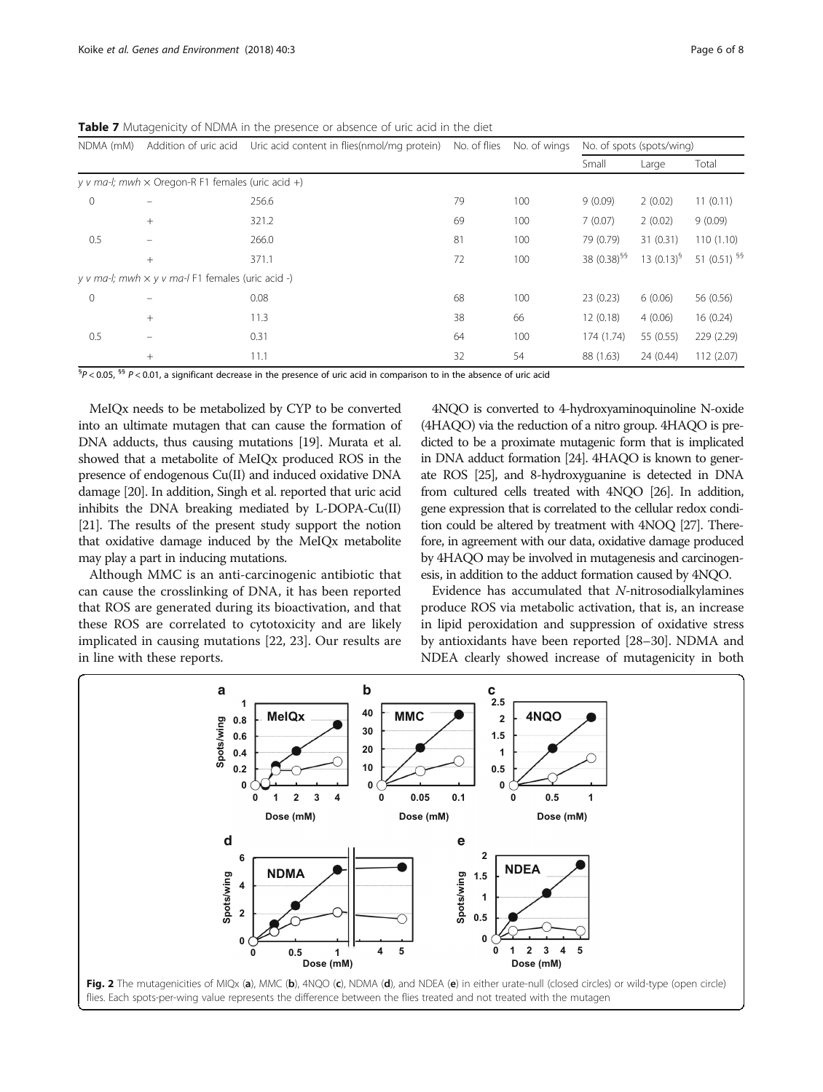| NDMA (mM)    |                                                          | Addition of uric acid Uric acid content in flies(nmol/mg protein) | No. of flies | No. of wings | No. of spots (spots/wing) |               |                |
|--------------|----------------------------------------------------------|-------------------------------------------------------------------|--------------|--------------|---------------------------|---------------|----------------|
|              |                                                          |                                                                   |              |              | Small                     | Large         | Total          |
|              | y v ma-l; mwh x Oregon-R F1 females (uric acid +)        |                                                                   |              |              |                           |               |                |
| $\mathbf 0$  |                                                          | 256.6                                                             | 79           | 100          | 9(0.09)                   | 2(0.02)       | 11(0.11)       |
|              | $^{+}$                                                   | 321.2                                                             | 69           | 100          | 7(0.07)                   | 2(0.02)       | 9(0.09)        |
| 0.5          |                                                          | 266.0                                                             | 81           | 100          | 79 (0.79)                 | 31(0.31)      | 110(1.10)      |
|              | $^{+}$                                                   | 371.1                                                             | 72           | 100          | 38 (0.38) <sup>§§</sup>   | 13 $(0.13)^9$ | 51 (0.51) $55$ |
|              | y v ma-l; mwh $\times$ y v ma-l F1 females (uric acid -) |                                                                   |              |              |                           |               |                |
| $\mathbf{0}$ |                                                          | 0.08                                                              | 68           | 100          | 23(0.23)                  | 6(0.06)       | 56 (0.56)      |
|              | $^{+}$                                                   | 11.3                                                              | 38           | 66           | 12(0.18)                  | 4(0.06)       | 16(0.24)       |
| 0.5          |                                                          | 0.31                                                              | 64           | 100          | 174 (1.74)                | 55 (0.55)     | 229 (2.29)     |
|              | $^{+}$                                                   | 11.1                                                              | 32           | 54           | 88 (1.63)                 | 24(0.44)      | 112(2.07)      |

<span id="page-5-0"></span>Table 7 Mutagenicity of NDMA in the presence or absence of uric acid in the diet

 ${}^{§}P$  < 0.05,  ${}^{§}P$  < 0.01, a significant decrease in the presence of uric acid in comparison to in the absence of uric acid

MeIQx needs to be metabolized by CYP to be converted into an ultimate mutagen that can cause the formation of DNA adducts, thus causing mutations [\[19](#page-7-0)]. Murata et al. showed that a metabolite of MeIQx produced ROS in the presence of endogenous Cu(II) and induced oxidative DNA damage [\[20\]](#page-7-0). In addition, Singh et al. reported that uric acid inhibits the DNA breaking mediated by L-DOPA-Cu(II) [[21](#page-7-0)]. The results of the present study support the notion that oxidative damage induced by the MeIQx metabolite may play a part in inducing mutations.

Although MMC is an anti-carcinogenic antibiotic that can cause the crosslinking of DNA, it has been reported that ROS are generated during its bioactivation, and that these ROS are correlated to cytotoxicity and are likely implicated in causing mutations [[22, 23\]](#page-7-0). Our results are in line with these reports.

4NQO is converted to 4-hydroxyaminoquinoline N-oxide (4HAQO) via the reduction of a nitro group. 4HAQO is predicted to be a proximate mutagenic form that is implicated in DNA adduct formation [[24\]](#page-7-0). 4HAQO is known to generate ROS [\[25](#page-7-0)], and 8-hydroxyguanine is detected in DNA from cultured cells treated with 4NQO [\[26\]](#page-7-0). In addition, gene expression that is correlated to the cellular redox condition could be altered by treatment with 4NOQ [\[27](#page-7-0)]. Therefore, in agreement with our data, oxidative damage produced by 4HAQO may be involved in mutagenesis and carcinogenesis, in addition to the adduct formation caused by 4NQO.

Evidence has accumulated that N-nitrosodialkylamines produce ROS via metabolic activation, that is, an increase in lipid peroxidation and suppression of oxidative stress by antioxidants have been reported [[28](#page-7-0)–[30\]](#page-7-0). NDMA and NDEA clearly showed increase of mutagenicity in both

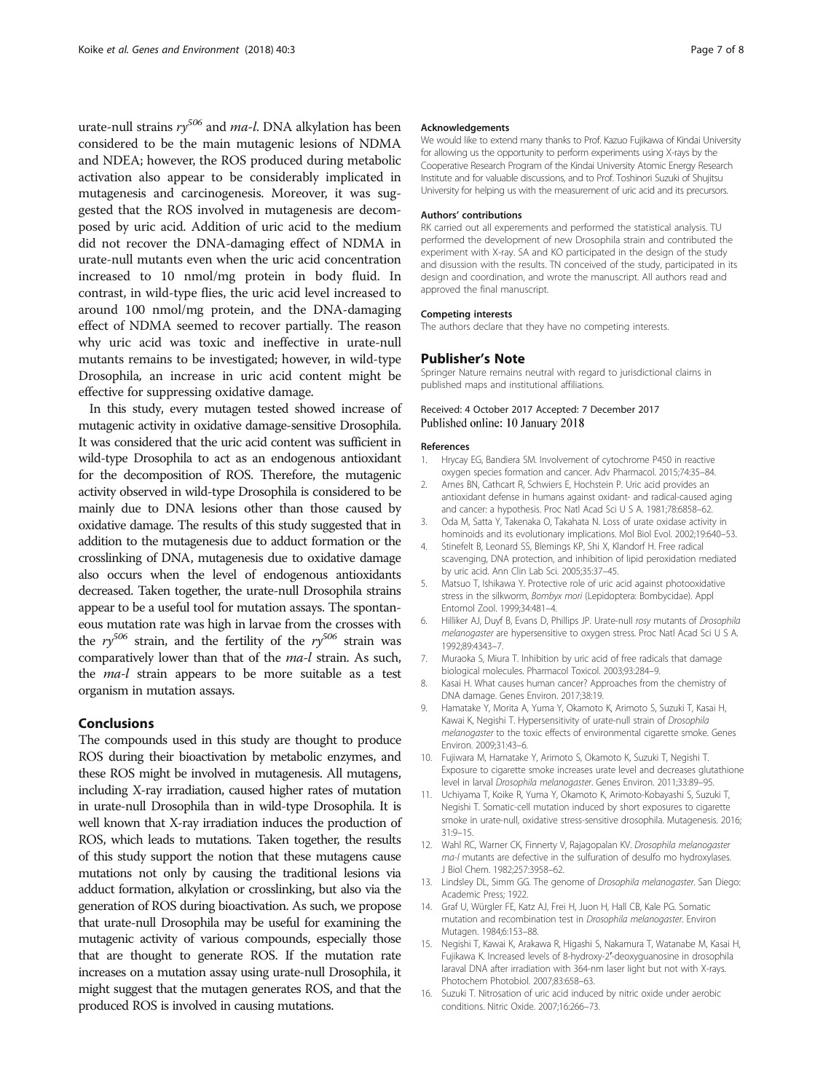<span id="page-6-0"></span>urate-null strains  $ry^{506}$  and *ma-l*. DNA alkylation has been considered to be the main mutagenic lesions of NDMA and NDEA; however, the ROS produced during metabolic activation also appear to be considerably implicated in mutagenesis and carcinogenesis. Moreover, it was suggested that the ROS involved in mutagenesis are decomposed by uric acid. Addition of uric acid to the medium did not recover the DNA-damaging effect of NDMA in urate-null mutants even when the uric acid concentration increased to 10 nmol/mg protein in body fluid. In contrast, in wild-type flies, the uric acid level increased to around 100 nmol/mg protein, and the DNA-damaging effect of NDMA seemed to recover partially. The reason why uric acid was toxic and ineffective in urate-null mutants remains to be investigated; however, in wild-type Drosophila, an increase in uric acid content might be effective for suppressing oxidative damage.

In this study, every mutagen tested showed increase of mutagenic activity in oxidative damage-sensitive Drosophila. It was considered that the uric acid content was sufficient in wild-type Drosophila to act as an endogenous antioxidant for the decomposition of ROS. Therefore, the mutagenic activity observed in wild-type Drosophila is considered to be mainly due to DNA lesions other than those caused by oxidative damage. The results of this study suggested that in addition to the mutagenesis due to adduct formation or the crosslinking of DNA, mutagenesis due to oxidative damage also occurs when the level of endogenous antioxidants decreased. Taken together, the urate-null Drosophila strains appear to be a useful tool for mutation assays. The spontaneous mutation rate was high in larvae from the crosses with the  $ry^{506}$  strain, and the fertility of the  $ry^{506}$  strain was comparatively lower than that of the ma-l strain. As such, the ma-l strain appears to be more suitable as a test organism in mutation assays.

#### Conclusions

The compounds used in this study are thought to produce ROS during their bioactivation by metabolic enzymes, and these ROS might be involved in mutagenesis. All mutagens, including X-ray irradiation, caused higher rates of mutation in urate-null Drosophila than in wild-type Drosophila. It is well known that X-ray irradiation induces the production of ROS, which leads to mutations. Taken together, the results of this study support the notion that these mutagens cause mutations not only by causing the traditional lesions via adduct formation, alkylation or crosslinking, but also via the generation of ROS during bioactivation. As such, we propose that urate-null Drosophila may be useful for examining the mutagenic activity of various compounds, especially those that are thought to generate ROS. If the mutation rate increases on a mutation assay using urate-null Drosophila, it might suggest that the mutagen generates ROS, and that the produced ROS is involved in causing mutations.

#### Acknowledgements

We would like to extend many thanks to Prof. Kazuo Fujikawa of Kindai University for allowing us the opportunity to perform experiments using X-rays by the Cooperative Research Program of the Kindai University Atomic Energy Research Institute and for valuable discussions, and to Prof. Toshinori Suzuki of Shujitsu University for helping us with the measurement of uric acid and its precursors.

#### Authors' contributions

RK carried out all experements and performed the statistical analysis. TU performed the development of new Drosophila strain and contributed the experiment with X-ray. SA and KO participated in the design of the study and disussion with the results. TN conceived of the study, participated in its design and coordination, and wrote the manuscript. All authors read and approved the final manuscript.

#### Competing interests

The authors declare that they have no competing interests.

#### Publisher's Note

Springer Nature remains neutral with regard to jurisdictional claims in published maps and institutional affiliations.

#### Received: 4 October 2017 Accepted: 7 December 2017 Published online: 10 January 2018

#### References

- 1. Hrycay EG, Bandiera SM. Involvement of cytochrome P450 in reactive oxygen species formation and cancer. Adv Pharmacol. 2015;74:35–84.
- 2. Ames BN, Cathcart R, Schwiers E, Hochstein P. Uric acid provides an antioxidant defense in humans against oxidant- and radical-caused aging and cancer: a hypothesis. Proc Natl Acad Sci U S A. 1981;78:6858–62.
- 3. Oda M, Satta Y, Takenaka O, Takahata N. Loss of urate oxidase activity in hominoids and its evolutionary implications. Mol Biol Evol. 2002;19:640–53.
- 4. Stinefelt B, Leonard SS, Blemings KP, Shi X, Klandorf H. Free radical scavenging, DNA protection, and inhibition of lipid peroxidation mediated by uric acid. Ann Clin Lab Sci. 2005;35:37–45.
- 5. Matsuo T, Ishikawa Y. Protective role of uric acid against photooxidative stress in the silkworm, Bombyx mori (Lepidoptera: Bombycidae). Appl Entomol Zool. 1999;34:481–4.
- 6. Hilliker AJ, Duyf B, Evans D, Phillips JP. Urate-null rosy mutants of Drosophila melanogaster are hypersensitive to oxygen stress. Proc Natl Acad Sci U S A. 1992;89:4343–7.
- 7. Muraoka S, Miura T. Inhibition by uric acid of free radicals that damage biological molecules. Pharmacol Toxicol. 2003;93:284–9.
- 8. Kasai H. What causes human cancer? Approaches from the chemistry of DNA damage. Genes Environ. 2017;38:19.
- 9. Hamatake Y, Morita A, Yuma Y, Okamoto K, Arimoto S, Suzuki T, Kasai H, Kawai K, Negishi T. Hypersensitivity of urate-null strain of Drosophila melanogaster to the toxic effects of environmental cigarette smoke. Genes Environ. 2009;31:43–6.
- 10. Fujiwara M, Hamatake Y, Arimoto S, Okamoto K, Suzuki T, Negishi T. Exposure to cigarette smoke increases urate level and decreases glutathione level in larval Drosophila melanogaster. Genes Environ. 2011;33:89–95.
- 11. Uchiyama T, Koike R, Yuma Y, Okamoto K, Arimoto-Kobayashi S, Suzuki T, Negishi T. Somatic-cell mutation induced by short exposures to cigarette smoke in urate-null, oxidative stress-sensitive drosophila. Mutagenesis. 2016; 31:9–15.
- 12. Wahl RC, Warner CK, Finnerty V, Rajagopalan KV. Drosophila melanogaster ma-l mutants are defective in the sulfuration of desulfo mo hydroxylases. J Biol Chem. 1982;257:3958–62.
- 13. Lindsley DL, Simm GG. The genome of Drosophila melanogaster. San Diego: Academic Press; 1922.
- 14. Graf U, Würgler FE, Katz AJ, Frei H, Juon H, Hall CB, Kale PG. Somatic mutation and recombination test in Drosophila melanogaster. Environ Mutagen. 1984;6:153–88.
- 15. Negishi T, Kawai K, Arakawa R, Higashi S, Nakamura T, Watanabe M, Kasai H, Fujikawa K. Increased levels of 8-hydroxy-2′-deoxyguanosine in drosophila laraval DNA after irradiation with 364-nm laser light but not with X-rays. Photochem Photobiol. 2007;83:658–63.
- 16. Suzuki T. Nitrosation of uric acid induced by nitric oxide under aerobic conditions. Nitric Oxide. 2007;16:266–73.